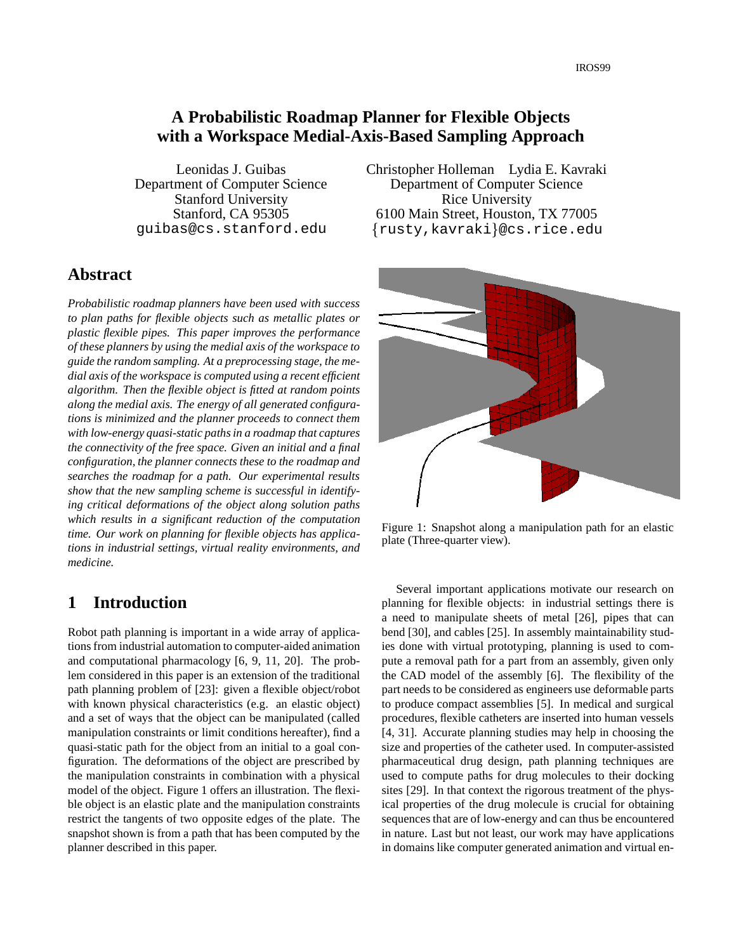## **A Probabilistic Ro admap Planner for Flexible Objects with a Workspace Medial-Axis-Based Sampling Approach**

Leonidas J. Guibas Department of Computer Science Stanford University Stanford, CA 95305 guibas@cs.stanford.edu

## **Abstract**

*Probabilistic roadmap planners have been used with success to plan paths for flexible objects such as metallic plates or plastic flexible pipes. This paper improves the performance of these planners by using the medial axis of the workspace to guide the random sampling. At a preprocessing stage, the medial axis of the workspace is computed using a recent efficient algorithm. Then the flexible object is fitted at random points along the medial axis. The energy of all generated configurations is minimized and the planner proceeds to connect them with low-energy quasi-static pathsin a roadmap that captures the connectivity of the free space. Given an initial and a final configuration, the planner connects these to the roadmap and searches the roadmap for a path. Our experimental results show that the new sampling scheme is successful in identifying critical deformations of the object along solution paths which results in a significant reduction of the computation time. Our work on planning for flexible objects has applications in industrial settings, virtual reality environments, and medicine.*

## **1 Introduction**

Robot path planning is important in a wide array of applications from industrial automation to computer-aided animation and computational pharmacology [6, 9, 11, 20]. The problem considered in this paper is an extension of the traditional path planning problem of [23]: given a flexible object/robot with known physical characteristics (e.g. an elastic object) and a set of ways that the object can be manipulated (called manipulation constraints or limit conditions hereafter), find a quasi-static path for the object from an initial to a goal configuration. The deformations of the object are prescribed by the manipulation constraints in combination with a physical model of the object. Figure 1 offers an illustration. The flexible object is an elastic plate and the manipulation constraints restrict the tangents of two opposite edges of the plate. The snapshot shown is from a path that has been computed by the planner described in this paper.

Christopher Holleman Lydia E. Kavraki Department of Computer Science Rice University 6100 Main Street, Houston, TX 77005 rusty,kavraki @cs.rice.edu



Figure 1: Snapshot along a manipulation path for an elastic plate (Three-quarter view).

Several important applications motivate our research on planning for flexible objects: in industrial settings there is a need to manipulate sheets of metal [26], pipes that can bend [30], and cables [25]. In assembly maintainability studies done with virtual prototyping, planning is used to compute a removal path for a part from an assembly, given only the CAD model of the assembly [6]. The flexibility of the part needs to be considered as engineers use deformable parts to produce compact assemblies [5]. In medical and surgical procedures, flexible catheters are inserted into human vessels [4, 31]. Accurate planning studies may help in choosing the size and properties of the catheter used. In computer-assisted pharmaceutical drug design, path planning techniques are used to compute paths for drug molecules to their docking sites [29]. In that context the rigorous treatment of the physical properties of the drug molecule is crucial for obtaining sequences that are of low-energy and can thus be encountered in nature. Last but not least, our work may have applications in domains like computer generated animation and virtual en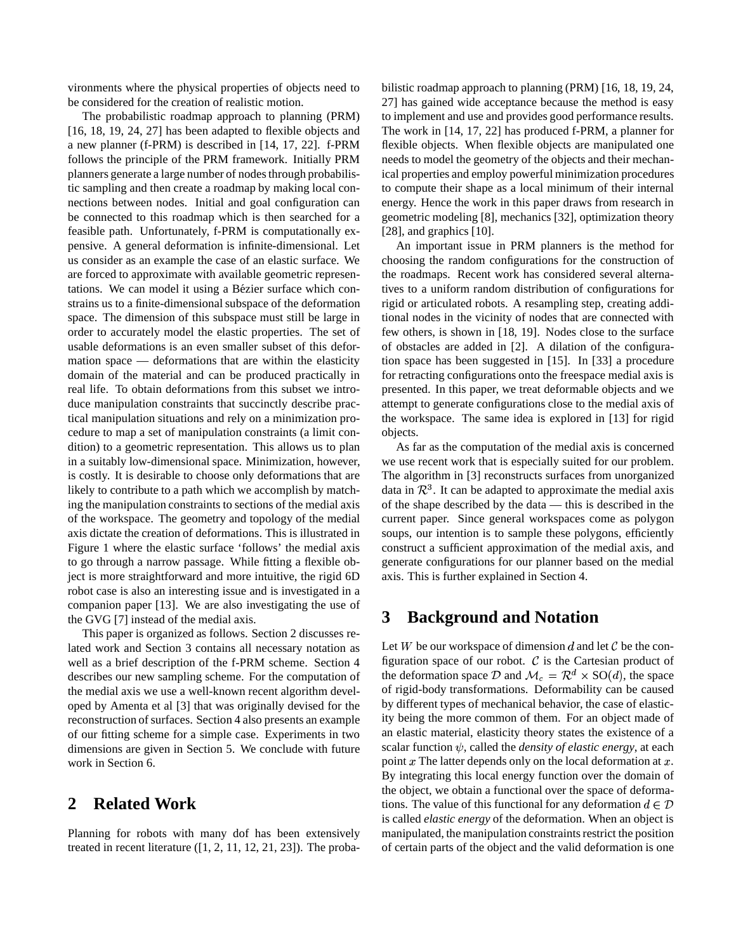vironments where the physical properties of objects need to be considered for the creation of realistic motion.

The probabilistic roadmap approach to planning (PRM) [16, 18, 19, 24, 27] has been adapted to flexible objects and a new planner (f-PRM) is described in [14, 17, 22]. f-PRM follows the principle of the PRM framework. Initially PRM planners generate a large number of nodes through probabilistic sampling and then create a roadmap by making local connections between nodes. Initial and goal configuration can be connected to this roadmap which is then searched for a feasible path. Unfortunately, f-PRM is computationally expensive. A general deformation is infinite-dimensional. Let us consider as an example the case of an elastic surface. We are forced to approximate with available geometric representations. We can model it using a Bézier surface which constrains us to a finite-dimensional subspace of the deformation space. The dimension of this subspace must still be large in order to accurately model the elastic properties. The set of usable deformations is an even smaller subset of this deformation space — deformations that are within the elasticity domain of the material and can be produced practically in real life. To obtain deformations from this subset we introduce manipulation constraints that succinctly describe practical manipulation situations and rely on a minimization procedure to map a set of manipulation constraints (a limit condition) to a geometric representation. This allows us to plan in a suitably low-dimensional space. Minimization, however, is costly. It is desirable to choose only deformations that are likely to contribute to a path which we accomplish by matching the manipulation constraints to sections of the medial axis of the workspace. The geometry and topology of the medial axis dictate the creation of deformations. This is illustrated in Figure 1 where the elastic surface 'follows' the medial axis to go through a narrow passage. While fitting a flexible object is more straightforward and more intuitive, the rigid 6D robot case is also an interesting issue and is investigated in a companion paper [13]. We are also investigating the use of the GVG [7] instead of the medial axis.

This paper is organized as follows. Section 2 discusses related work and Section 3 contains all necessary notation as well as a brief description of the f-PRM scheme. Section 4 describes our new sampling scheme. For the computation of the medial axis we use a well-known recent algorithm developed by Amenta et al [3] that was originally devised for the reconstruction of surfaces. Section 4 also presents an example of our fitting scheme for a simple case. Experiments in two dimensions are given in Section 5. We conclude with future work in Section 6.

## **2 Related Work**

Planning for robots with many dof has been extensively treated in recent literature  $([1, 2, 11, 12, 21, 23])$ . The probabilistic roadmap approach to planning (PRM) [16, 18, 19, 24, 27] has gained wide acceptance because the method is easy to implement and use and provides good performance results. The work in [14, 17, 22] has produced f-PRM, a planner for flexible objects. When flexible objects are manipulated one needs to model the geometry of the objects and their mechanical properties and employ powerful minimization procedures to compute their shape as a local minimum of their internal energy. Hence the work in this paper draws from research in geometric modeling [8], mechanics [32], optimization theory [28], and graphics [10].

An important issue in PRM planners is the method for choosing the random configurations for the construction of the roadmaps. Recent work has considered several alternatives to a uniform random distribution of configurations for rigid or articulated robots. A resampling step, creating additional nodes in the vicinity of nodes that are connected with few others, is shown in [18, 19]. Nodes close to the surface of obstacles are added in [2]. A dilation of the configuration space has been suggested in [15]. In [33] a procedure for retracting configurations onto the freespace medial axis is presented. In this paper, we treat deformable objects and we attempt to generate configurations close to the medial axis of the workspace. The same idea is explored in [13] for rigid objects.

As far as the computation of the medial axis is concerned we use recent work that is especially suited for our problem. The algorithm in [3] reconstructs surfaces from unorganized data in  $\mathcal{R}^3$ . It can be adapted to approximate the medial axis of the shape described by the data — this is described in the current paper. Since general workspaces come as polygon soups, our intention is to sample these polygons, efficiently construct a sufficient approximation of the medial axis, and generate configurations for our planner based on the medial axis. This is further explained in Section 4.

## **3 Background and Notation**

Let  $W$  be our workspace of dimension  $d$  and let  $C$  be the configuration space of our robot.  $C$  is the Cartesian product of the deformation space D and  $\mathcal{M}_c = \mathcal{R}^d \times SO(d)$ , the space of rigid-body transformations. Deformability can be caused by different types of mechanical behavior, the case of elasticity being the more common of them. For an object made of an elastic material, elasticity theory states the existence of a scalar function  $\psi$ , called the *density* of *elastic energy*, at each point  $x$ . The latter depends only on the local deformation at  $x$ . By integrating this local energy function over the domain of the object, we obtain a functional over the space of deformations. The value of this functional for any deformation  $d \in \mathcal{D}$ is called *elastic energy* of the deformation. When an object is manipulated, the manipulation constraints restrict the position of certain parts of the object and the valid deformation is one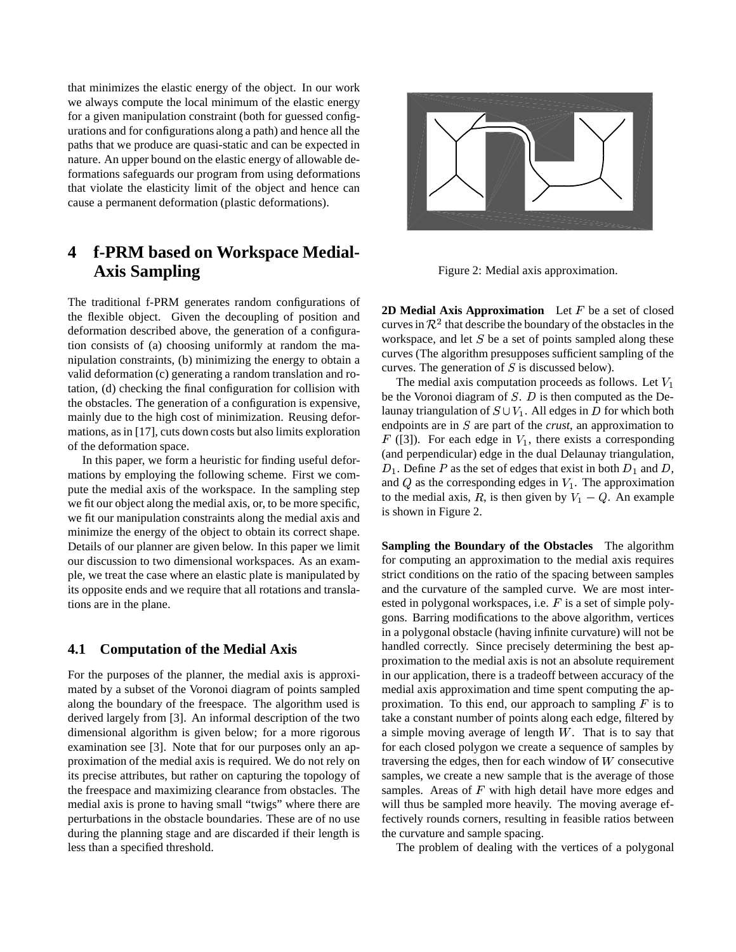that minimizes the elastic energy of the object. In our work we always compute the local minimum of the elastic energy for a given manipulation constraint (both for guessed configurations and for configurations along a path) and hence all the paths that we produce are quasi-static and can be expected in nature. An upper bound on the elastic energy of allowable deformations safeguards our program from using deformations that violate the elasticity limit of the object and hence can cause a permanent deformation (plastic deformations).

# **4 f-PRM based on Workspace Medial-Axis Sampling**

The traditional f-PRM generates random configurations of the flexible object. Given the decoupling of position and deformation described above, the generation of a configuration consists of (a) choosing uniformly at random the manipulation constraints, (b) minimizing the energy to obtain a valid deformation (c) generating a random translation and rotation, (d) checking the final configuration for collision with the obstacles. The generation of a configuration is expensive, mainly due to the high cost of minimization. Reusing deformations, as in [17], cuts down costs but also limits exploration of the deformation space.

In this paper, we form a heuristic for finding useful deformations by employing the following scheme. First we compute the medial axis of the workspace. In the sampling step we fit our object along the medial axis, or, to be more specific, we fit our manipulation constraints along the medial axis and minimize the energy of the object to obtain its correct shape. Details of our planner are given below. In this paper we limit our discussion to two dimensional workspaces. As an example, we treat the case where an elastic plate is manipulated by its opposite ends and we require that all rotations and translations are in the plane.

#### **4.1 Computation of the Medial Axis**

For the purposes of the planner, the medial axis is approximated by a subset of the Voronoi diagram of points sampled along the boundary of the freespace. The algorithm used is derived largely from [3]. An informal description of the two dimensional algorithm is given below; for a more rigorous examination see [3]. Note that for our purposes only an approximation of the medial axis is required. We do not rely on its precise attributes, but rather on capturing the topology of the freespace and maximizing clearance from obstacles. The medial axis is prone to having small "twigs" where there are perturbations in the obstacle boundaries. These are of no use during the planning stage and are discarded if their length is less than a specified threshold.



Figure 2: Medial axis approximation.

**2D Medial Axis Approximation** Let F be a set of closed curves in  $\mathcal{R}^2$  that describe the boundary of the obstacles in the workspace, and let  $S$  be a set of points sampled along these curves (The algorithm presupposes sufficient sampling of the curves. The generation of  $S$  is discussed below).

The medial axis computation proceeds as follows. Let  $V_1$ be the Voronoi diagram of  $S$ .  $D$  is then computed as the Delaunay triangulation of  $S \cup V_1$ . All edges in  $D$  for which both endpoints are in  $S$  are part of the *crust*, an approximation to  $F$  ([3]). For each edge in  $V_1$ , there exists a corresponding (and perpendicular) edge in the dual Delaunay triangulation,  $D_1$ . Define P as the set of edges that exist in both  $D_1$  and D, and  $Q$  as the corresponding edges in  $V_1$ . The approximation to the medial axis, R, is then given by  $V_1 - Q$ . An example is shown in Figure 2.

**Sampling the Boundary of the Obstacles** The algorithm for computing an approximation to the medial axis requires strict conditions on the ratio of the spacing between samples and the curvature of the sampled curve. We are most interested in polygonal workspaces, i.e.  $F$  is a set of simple polygons. Barring modifications to the above algorithm, vertices in a polygonal obstacle (having infinite curvature) will not be handled correctly. Since precisely determining the best approximation to the medial axis is not an absolute requirement in our application, there is a tradeoff between accuracy of the medial axis approximation and time spent computing the approximation. To this end, our approach to sampling  $F$  is to take a constant number of points along each edge, filtered by a simple moving average of length  $W$ . That is to say that for each closed polygon we create a sequence of samples by traversing the edges, then for each window of  $W$  consecutive samples, we create a new sample that is the average of those samples. Areas of  $F$  with high detail have more edges and will thus be sampled more heavily. The moving average effectively rounds corners, resulting in feasible ratios between the curvature and sample spacing.

The problem of dealing with the vertices of a polygonal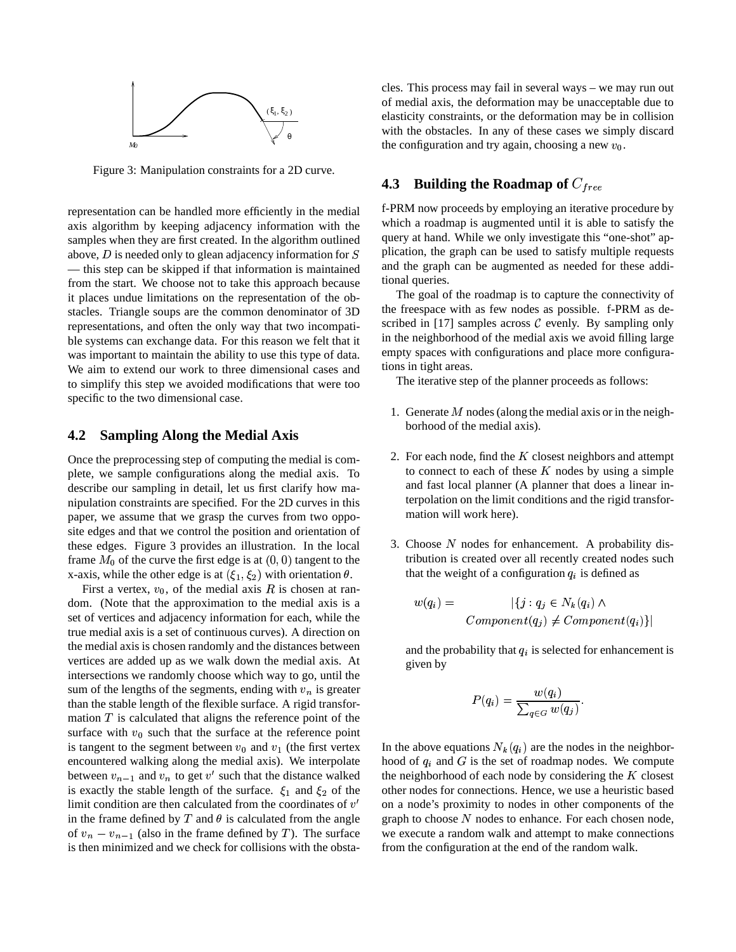

Figure 3: Manipulation constraints for a 2D curve.

representation can be handled more efficiently in the medial axis algorithm by keeping adjacency information with the samples when they are first created. In the algorithm outlined above,  $D$  is needed only to glean adjacency information for  $S$ — this step can be skipped if that information is maintained from the start. We choose not to take this approach because it places undue limitations on the representation of the obstacles. Triangle soups are the common denominator of 3D representations, and often the only way that two incompatible systems can exchange data. For this reason we felt that it was important to maintain the ability to use this type of data. We aim to extend our work to three dimensional cases and to simplify this step we avoided modifications that were too specific to the two dimensional case.

#### **4.2 Sampling Along the Medial Axis**

Once the preprocessing step of computing the medial is complete, we sample configurations along the medial axis. To describe our sampling in detail, let us first clarify how manipulation constraints are specified. For the 2D curves in this paper, we assume that we grasp the curves from two opposite edges and that we control the position and orientation of these edges. Figure 3 provides an illustration. In the local frame  $M_0$  of the curve the first edge is at  $(0,0)$  tangent to the x-axis, while the other edge is at  $(\xi_1, \xi_2)$  with orientation  $\theta$ .

First a vertex,  $v_0$ , of the medial axis R is chosen at random. (Note that the approximation to the medial axis is a set of vertices and adjacency information for each, while the true medial axis is a set of continuous curves). A direction on the medial axis is chosen randomly and the distances between vertices are added up as we walk down the medial axis. At intersections we randomly choose which way to go, until the sum of the lengths of the segments, ending with  $v_n$  is greater than the stable length of the flexible surface. A rigid transformation  $T$  is calculated that aligns the reference point of the surface with  $v_0$  such that the surface at the reference point is tangent to the segment between  $v_0$  and  $v_1$  (the first vertex encountered walking along the medial axis). We interpolate between  $v_{n-1}$  and  $v_n$  to get  $v'$  such that the distance walked is exactly the stable length of the surface.  $\xi_1$  and  $\xi_2$  of the limit condition are then calculated from the coordinates of  $v'$ in the frame defined by  $T$  and  $\theta$  is calculated from the angle of  $v_n - v_{n-1}$  (also in the frame defined by T). The surface is then minimized and we check for collisions with the obstacles. This process may fail in several ways – we may run out of medial axis, the deformation may be unacceptable due to elasticity constraints, or the deformation may be in collision with the obstacles. In any of these cases we simply discard the configuration and try again, choosing a new  $v_0$ .

### **4.3 Building the Roadmap of**

f-PRM now proceeds by employing an iterative procedure by which a roadmap is augmented until it is able to satisfy the query at hand. While we only investigate this "one-shot" application, the graph can be used to satisfy multiple requests and the graph can be augmented as needed for these additional queries.

The goal of the roadmap is to capture the connectivity of the freespace with as few nodes as possible. f-PRM as described in [17] samples across  $C$  evenly. By sampling only in the neighborhood of the medial axis we avoid filling large empty spaces with configurations and place more configurations in tight areas.

The iterative step of the planner proceeds as follows:

- 1. Generate  $M$  nodes (along the medial axis or in the neighborhood of the medial axis).
- 2. For each node, find the  $K$  closest neighbors and attempt to connect to each of these  $K$  nodes by using a simple and fast local planner (A planner that does a linear interpolation on the limit conditions and the rigid transformation will work here).
- 3. Choose  $N$  nodes for enhancement. A probability distribution is created over all recently created nodes such that the weight of a configuration  $q_i$  is defined as

$$
w(q_i) = |\{j : q_j \in N_k(q_i) \land
$$
  
Component(q<sub>i</sub>)  $\neq$  Component(q<sub>i</sub>)\}|

and the probability that  $q_i$  is selected for enhancement is given by

$$
P(q_i) = \frac{w(q_i)}{\sum_{q \in G} w(q_j)}.
$$

In the above equations  $N_k(q_i)$  are the nodes in the neighborhood of  $q_i$  and G is the set of roadmap nodes. We compute the neighborhood of each node by considering the  $K$  closest other nodes for connections. Hence, we use a heuristic based on a node's proximity to nodes in other components of the graph to choose  $N$  nodes to enhance. For each chosen node, we execute a random walk and attempt to make connections from the configuration at the end of the random walk.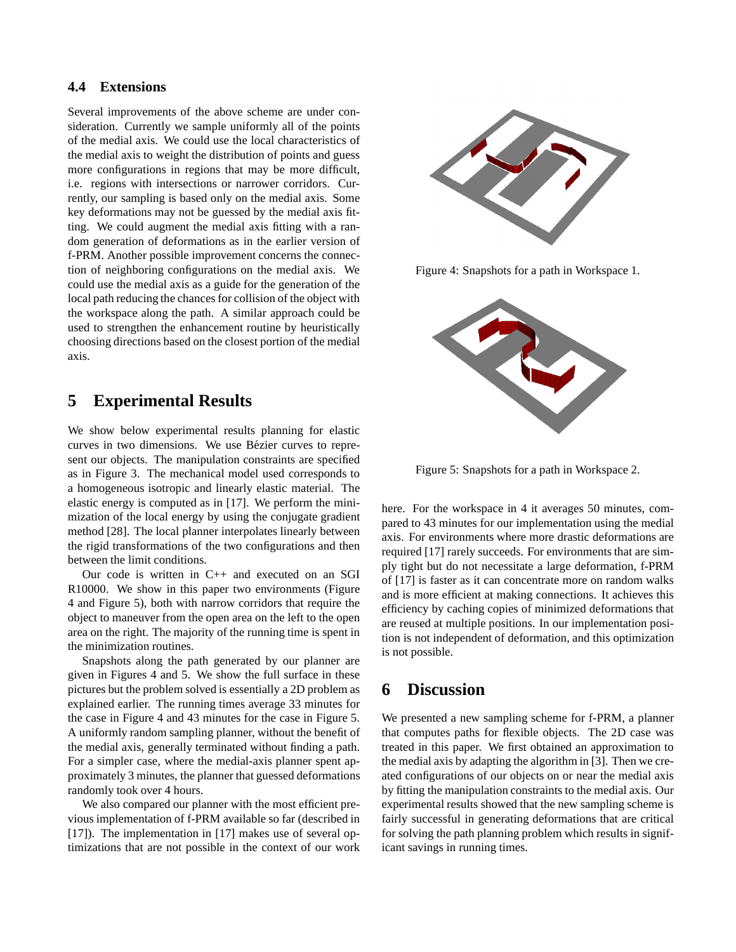#### **4.4 Extensions**

Several improvements of the above scheme are under consideration. Currently we sample uniformly all of the points of the medial axis. We could use the local characteristics of the medial axis to weight the distribution of points and guess more configurations in regions that may be more difficult, i.e. regions with intersections or narrower corridors. Currently, our sampling is based only on the medial axis. Some key deformations may not be guessed by the medial axis fitting. We could augment the medial axis fitting with a random generation of deformations as in the earlier version of f-PRM. Another possible improvement concerns the connection of neighboring configurations on the medial axis. We could use the medial axis as a guide for the generation of the local path reducing the chances for collision of the object with the workspace along the path. A similar approach could be used to strengthen the enhancement routine by heuristically choosing directions based on the closest portion of the medial axis.

## **5 Experimental Results**

We show below experimental results planning for elastic curves in two dimensions. We use Bézier curves to represent our objects. The manipulation constraints are specified as in Figure 3. The mechanical model used corresponds to a homogeneous isotropic and linearly elastic material. The elastic energy is computed as in [17]. We perform the minimization of the local energy by using the conjugate gradient method [28]. The local planner interpolates linearly between the rigid transformations of the two configurations and then between the limit conditions.

Our code is written in C++ and executed on an SGI R10000. We show in this paper two environments (Figure 4 and Figure 5), both with narrow corridors that require the object to maneuver from the open area on the left to the open area on the right. The majority of the running time is spent in the minimization routines.

Snapshots along the path generated by our planner are given in Figures 4 and 5. We show the full surface in these pictures but the problem solved is essentially a 2D problem as explained earlier. The running times average 33 minutes for the case in Figure 4 and 43 minutes for the case in Figure 5. A uniformly random sampling planner, without the benefit of the medial axis, generally terminated without finding a path. For a simpler case, where the medial-axis planner spent approximately 3 minutes, the planner that guessed deformations randomly took over 4 hours.

We also compared our planner with the most efficient previous implementation of f-PRM available so far (described in [17]). The implementation in [17] makes use of several optimizations that are not possible in the context of our work



Figure 4: Snapshots for a path in Workspace 1.



Figure 5: Snapshots for a path in Workspace 2.

here. For the workspace in 4 it averages 50 minutes, compared to 43 minutes for our implementation using the medial axis. For environments where more drastic deformations are required [17] rarely succeeds. For environments that are simply tight but do not necessitate a large deformation, f-PRM of [17] is faster as it can concentrate more on random walks and is more efficient at making connections. It achieves this efficiency by caching copies of minimized deformations that are reused at multiple positions. In our implementation position is not independent of deformation, and this optimization is not possible.

## **6 Discussion**

We presented a new sampling scheme for f-PRM, a planner that computes paths for flexible objects. The 2D case was treated in this paper. We first obtained an approximation to the medial axis by adapting the algorithm in [3]. Then we created configurations of our objects on or near the medial axis by fitting the manipulation constraints to the medial axis. Our experimental results showed that the new sampling scheme is fairly successful in generating deformations that are critical for solving the path planning problem which results in significant savings in running times.